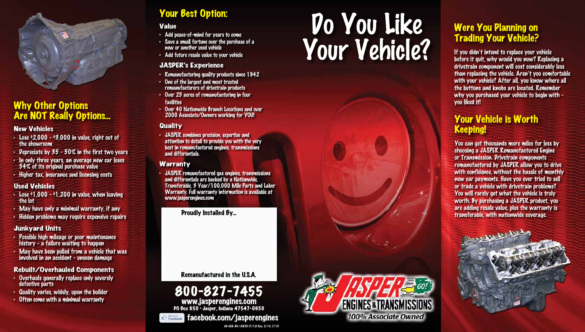#### New Vehicles

- Lose  $2,000 3,000$  in value, right out of the showroom
- Depreciate by 35 50% in the first two years
- In only three years, an average new car loses 54% of its original purchase value
- Higher tax, insurance and licensing costs

- Lose  $91,000 91,200$  in value, when leaving the lot
- May have only a minimal warranty, if any
- Hidden problems may require expensive repairs

#### Used Vehicles

#### Junkyard Units

- Possible high mileage or poor maintenance history - a failure waiting to happen
- May have been pulled from a vehicle that was involved in an accident - unseen damage

### Rebuilt/Overhauled Components

- Overhauls generally replace only severely defective parts
- Quality varies, widely, upon the builder
- 



## PO Box 650 • Jasper, Indiana 47547-0650



### **facebook.com/jasperengines**

If you didn't intend to replace your vehicle before it quit, why would you now? Replacing a drivetrain component will cost considerably less than replacing the vehicle. Aren't you comfortable with your vehicle? After all, you know where all the buttons and knobs are located. Remember why you purchased your vehicle to begin with you liked it!

# Your Best Option:<br>Value<br>. Add neace-of-mind for vears to come Your Vehicle?



#### Value

- Add peace-of-mind for years to come
- Save a small fortune over the purchase of a new or another used vehicle
- Add future resale value to your vehicle

#### JASPER's Experience

- Remanufacturing quality products since 1942
- One of the largest and most trusted remanufacturers of drivetrain products
- Over 25 acres of remanufacturing in four facilities
- Over 40 Nationwide Branch Locations and over 2000 Associate/Owners working for YOU!

#### **Quality**

• JASPER combines precision, expertise and attention to detail to provide you with the very best in remanufactured engines, transmissions and differentials.

#### **Warranty**

• JASPER remanufactured gas engines, transmissions and differentials are backed by a Nationwide, Transferable, 3 Year/100,000 Mile Parts and Labor Warranty. Full warranty information is available at www.jasperengines.com



### Why Other Options Are NOT Really Options...

### Were You Planning on Trading Your Vehicle?

### Your Vehicle is Worth Keeping!

Proudly Installed By...

Remanufactured in the U.S.A.

You can get thousands more miles for less by choosing a JASPER Remanufactured Engine or Transmission. Drivetrain components remanufactured by JASPER allow you to drive with confidence, without the hassle of monthly new car payments. Have you ever tried to sell or trade a vehicle with drivetrain problems? You will rarely get what the vehicle is truly worth. By purchasing a JASPER product, you are adding resale value, plus the warranty is transferable, with nationwide coverage.

#### AD-E06-86-16835 (7/12) Rev. 2/14, 7/15